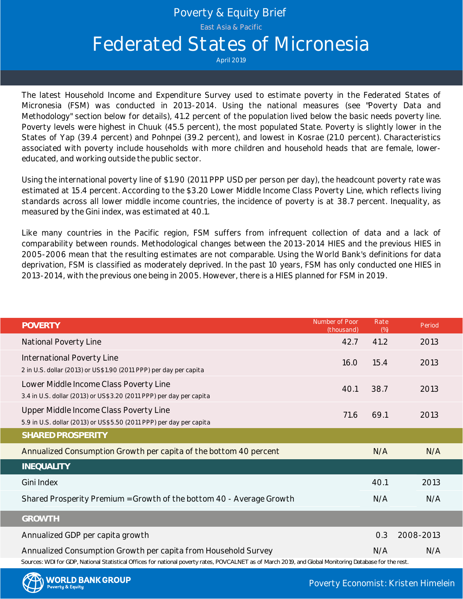# Poverty & Equity Brief

East Asia & Pacific

# Federated States of Micronesia

April 2019

The latest Household Income and Expenditure Survey used to estimate poverty in the Federated States of Micronesia (FSM) was conducted in 2013-2014. Using the national measures (see "Poverty Data and Methodology" section below for details), 41.2 percent of the population lived below the basic needs poverty line. Poverty levels were highest in Chuuk (45.5 percent), the most populated State. Poverty is slightly lower in the States of Yap (39.4 percent) and Pohnpei (39.2 percent), and lowest in Kosrae (21.0 percent). Characteristics associated with poverty include households with more children and household heads that are female, lowereducated, and working outside the public sector.

Using the international poverty line of \$1.90 (2011 PPP USD per person per day), the headcount poverty rate was estimated at 15.4 percent. According to the \$3.20 Lower Middle Income Class Poverty Line, which reflects living standards across all lower middle income countries, the incidence of poverty is at 38.7 percent. Inequality, as measured by the Gini index, was estimated at 40.1.

Like many countries in the Pacific region, FSM suffers from infrequent collection of data and a lack of comparability between rounds. Methodological changes between the 2013-2014 HIES and the previous HIES in 2005-2006 mean that the resulting estimates are not comparable. Using the World Bank's definitions for data Using the international poverty line of \$1.90 (2011 PPP USD per person per day), the headcount poverty rate was<br>estimated at 15.4 percent. According to the \$3.20 Lower Middle Income Class Poverty Line, which reflects livin 2013-2014, with the previous one being in 2005. However, there is a HIES planned for FSM in 2019.

| <b>POVERTY</b>                                                                                                                                                                                                            | Number of Poor<br>(thousand) | Rate<br>(%) | Period    |
|---------------------------------------------------------------------------------------------------------------------------------------------------------------------------------------------------------------------------|------------------------------|-------------|-----------|
| National Poverty Line                                                                                                                                                                                                     | 42.7                         | 41.2        | 2013      |
| International Poverty Line<br>2 in U.S. dollar (2013) or US\$1.90 (2011 PPP) per day per capita                                                                                                                           | 16.0                         | 15.4        | 2013      |
| Lower Middle Income Class Poverty Line<br>3.4 in U.S. dollar (2013) or US\$3.20 (2011 PPP) per day per capita                                                                                                             | 40.1                         | 38.7        | 2013      |
| Upper Middle Income Class Poverty Line<br>5.9 in U.S. dollar (2013) or US\$5.50 (2011 PPP) per day per capita                                                                                                             | 71.6                         | 69.1        | 2013      |
| SHARED PROSPERITY                                                                                                                                                                                                         |                              |             |           |
| Annualized Consumption Growth per capita of the bottom 40 percent                                                                                                                                                         |                              | N/A         | N/A       |
| <b>INEQUALITY</b>                                                                                                                                                                                                         |                              |             |           |
| Gini Index                                                                                                                                                                                                                |                              | 40.1        | 2013      |
| Shared Prosperity Premium = Growth of the bottom 40 - Average Growth                                                                                                                                                      |                              | N/A         | N/A       |
| <b>GROWTH</b>                                                                                                                                                                                                             |                              |             |           |
| Annualized GDP per capita growth                                                                                                                                                                                          |                              | 0.3         | 2008-2013 |
| Annualized Consumption Growth per capita from Household Survey<br>Sources: WDI for GDP, National Statistical Offices for national poverty rates, POVCALNET as of March 2019, and Global Monitoring Database for the rest. |                              | N/A         | N/A       |